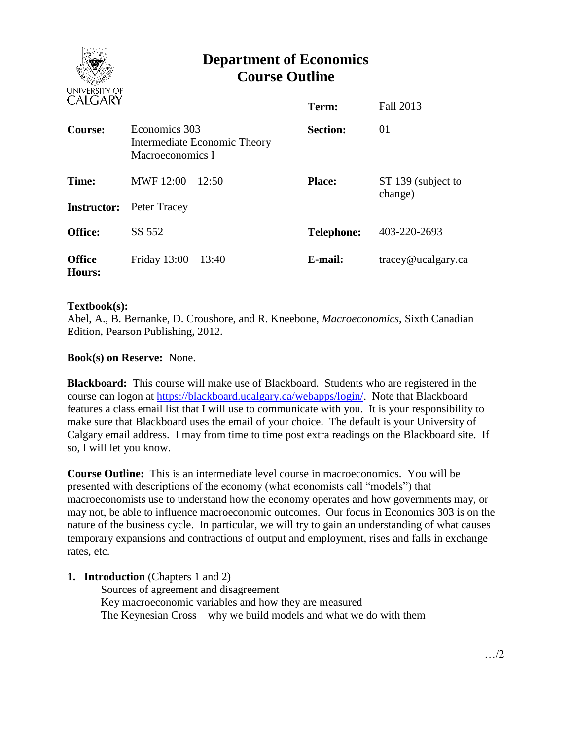

# **Department of Economics Course Outline**

| CALUANI                 |                                                                     | Term:             | Fall 2013                     |
|-------------------------|---------------------------------------------------------------------|-------------------|-------------------------------|
| Course:                 | Economics 303<br>Intermediate Economic Theory –<br>Macroeconomics I | <b>Section:</b>   | 01                            |
| Time:                   | MWF $12:00 - 12:50$                                                 | <b>Place:</b>     | ST 139 (subject to<br>change) |
| <b>Instructor:</b>      | Peter Tracey                                                        |                   |                               |
| <b>Office:</b>          | SS 552                                                              | <b>Telephone:</b> | 403-220-2693                  |
| <b>Office</b><br>Hours: | Friday $13:00 - 13:40$                                              | E-mail:           | tracey@ucalgary.ca            |

## **Textbook(s):**

Abel, A., B. Bernanke, D. Croushore, and R. Kneebone, *Macroeconomics*, Sixth Canadian Edition, Pearson Publishing, 2012.

# **Book(s) on Reserve:** None.

**Blackboard:** This course will make use of Blackboard. Students who are registered in the course can logon at [https://blackboard.ucalgary.ca/webapps/login/.](https://blackboard.ucalgary.ca/webapps/login/) Note that Blackboard features a class email list that I will use to communicate with you. It is your responsibility to make sure that Blackboard uses the email of your choice. The default is your University of Calgary email address. I may from time to time post extra readings on the Blackboard site. If so, I will let you know.

**Course Outline:** This is an intermediate level course in macroeconomics. You will be presented with descriptions of the economy (what economists call "models") that macroeconomists use to understand how the economy operates and how governments may, or may not, be able to influence macroeconomic outcomes. Our focus in Economics 303 is on the nature of the business cycle. In particular, we will try to gain an understanding of what causes temporary expansions and contractions of output and employment, rises and falls in exchange rates, etc.

## **1. Introduction** (Chapters 1 and 2)

Sources of agreement and disagreement Key macroeconomic variables and how they are measured The Keynesian Cross – why we build models and what we do with them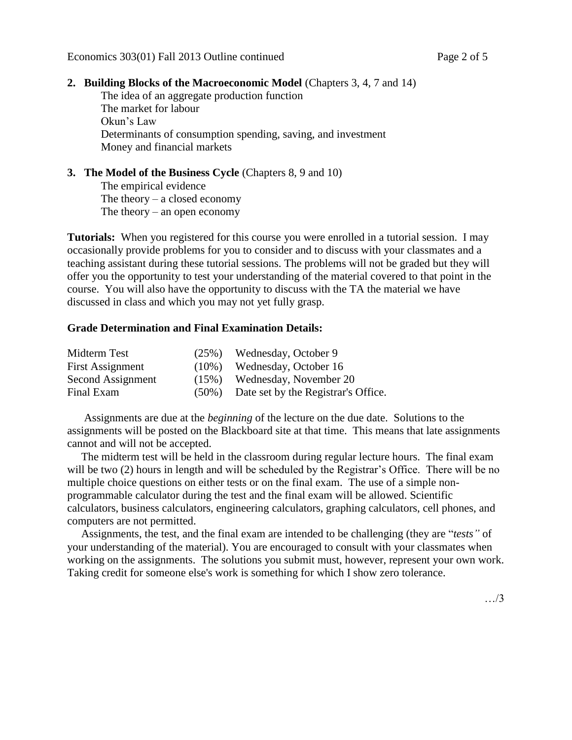#### **2. Building Blocks of the Macroeconomic Model** (Chapters 3, 4, 7 and 14)

The idea of an aggregate production function The market for labour Okun's Law Determinants of consumption spending, saving, and investment Money and financial markets

## **3. The Model of the Business Cycle** (Chapters 8, 9 and 10)

The empirical evidence The theory  $-$  a closed economy The theory – an open economy

**Tutorials:** When you registered for this course you were enrolled in a tutorial session. I may occasionally provide problems for you to consider and to discuss with your classmates and a teaching assistant during these tutorial sessions. The problems will not be graded but they will offer you the opportunity to test your understanding of the material covered to that point in the course. You will also have the opportunity to discuss with the TA the material we have discussed in class and which you may not yet fully grasp.

#### **Grade Determination and Final Examination Details:**

| Midterm Test            |          | (25%) Wednesday, October 9                |
|-------------------------|----------|-------------------------------------------|
| <b>First Assignment</b> | $(10\%)$ | Wednesday, October 16                     |
| Second Assignment       |          | $(15%)$ Wednesday, November 20            |
| Final Exam              |          | (50%) Date set by the Registrar's Office. |

 Assignments are due at the *beginning* of the lecture on the due date. Solutions to the assignments will be posted on the Blackboard site at that time. This means that late assignments cannot and will not be accepted.

 The midterm test will be held in the classroom during regular lecture hours. The final exam will be two (2) hours in length and will be scheduled by the Registrar's Office. There will be no multiple choice questions on either tests or on the final exam. The use of a simple nonprogrammable calculator during the test and the final exam will be allowed. Scientific calculators, business calculators, engineering calculators, graphing calculators, cell phones, and computers are not permitted.

 Assignments, the test, and the final exam are intended to be challenging (they are "*tests"* of your understanding of the material). You are encouraged to consult with your classmates when working on the assignments. The solutions you submit must, however, represent your own work. Taking credit for someone else's work is something for which I show zero tolerance.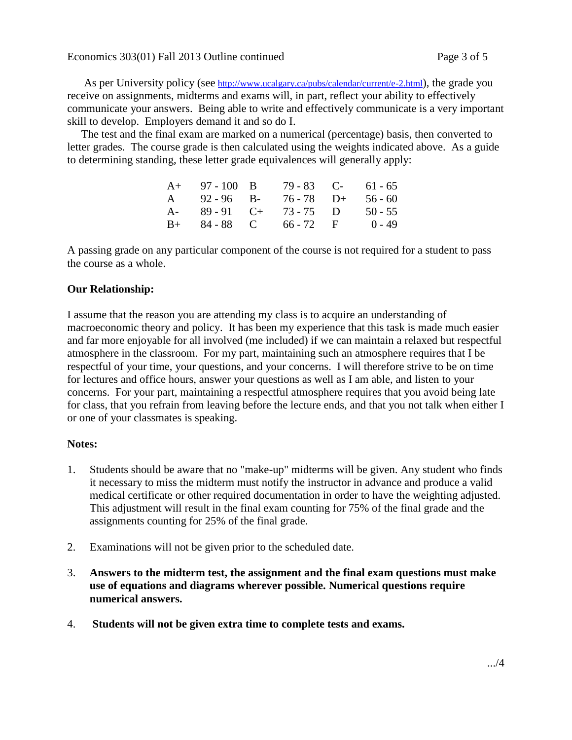As per University policy (see <http://www.ucalgary.ca/pubs/calendar/current/e-2.html>), the grade you receive on assignments, midterms and exams will, in part, reflect your ability to effectively communicate your answers. Being able to write and effectively communicate is a very important skill to develop. Employers demand it and so do I.

 The test and the final exam are marked on a numerical (percentage) basis, then converted to letter grades. The course grade is then calculated using the weights indicated above. As a guide to determining standing, these letter grade equivalences will generally apply:

| $A+ 97-100 B$       | 79 - 83 C-             | 61 - 65   |
|---------------------|------------------------|-----------|
| $A = 92 - 96$ B-    | $76 - 78$ D+           | $56 - 60$ |
| $A - 89 - 91$ $C +$ | $73 - 75$ D            | $50 - 55$ |
|                     | $B+ 84-88$ C 66 - 72 F | $0 - 49$  |

A passing grade on any particular component of the course is not required for a student to pass the course as a whole.

# **Our Relationship:**

I assume that the reason you are attending my class is to acquire an understanding of macroeconomic theory and policy. It has been my experience that this task is made much easier and far more enjoyable for all involved (me included) if we can maintain a relaxed but respectful atmosphere in the classroom. For my part, maintaining such an atmosphere requires that I be respectful of your time, your questions, and your concerns. I will therefore strive to be on time for lectures and office hours, answer your questions as well as I am able, and listen to your concerns. For your part, maintaining a respectful atmosphere requires that you avoid being late for class, that you refrain from leaving before the lecture ends, and that you not talk when either I or one of your classmates is speaking.

## **Notes:**

- 1. Students should be aware that no "make-up" midterms will be given. Any student who finds it necessary to miss the midterm must notify the instructor in advance and produce a valid medical certificate or other required documentation in order to have the weighting adjusted. This adjustment will result in the final exam counting for 75% of the final grade and the assignments counting for 25% of the final grade.
- 2. Examinations will not be given prior to the scheduled date.
- 3. **Answers to the midterm test, the assignment and the final exam questions must make use of equations and diagrams wherever possible. Numerical questions require numerical answers.**
- 4. **Students will not be given extra time to complete tests and exams.**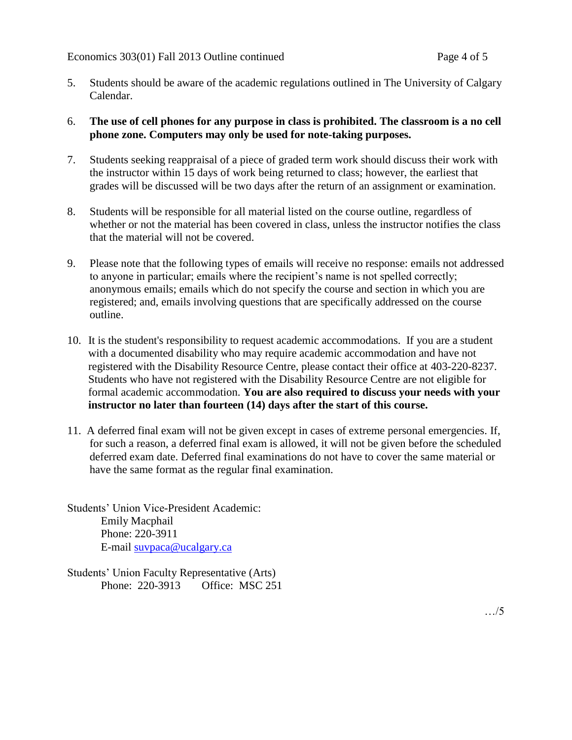- 5. Students should be aware of the academic regulations outlined in The University of Calgary Calendar.
- 6. **The use of cell phones for any purpose in class is prohibited. The classroom is a no cell phone zone. Computers may only be used for note-taking purposes.**
- 7. Students seeking reappraisal of a piece of graded term work should discuss their work with the instructor within 15 days of work being returned to class; however, the earliest that grades will be discussed will be two days after the return of an assignment or examination.
- 8. Students will be responsible for all material listed on the course outline, regardless of whether or not the material has been covered in class, unless the instructor notifies the class that the material will not be covered.
- 9. Please note that the following types of emails will receive no response: emails not addressed to anyone in particular; emails where the recipient's name is not spelled correctly; anonymous emails; emails which do not specify the course and section in which you are registered; and, emails involving questions that are specifically addressed on the course outline.
- 10. It is the student's responsibility to request academic accommodations. If you are a student with a documented disability who may require academic accommodation and have not registered with the Disability Resource Centre, please contact their office at 403-220-8237. Students who have not registered with the Disability Resource Centre are not eligible for formal academic accommodation. **You are also required to discuss your needs with your instructor no later than fourteen (14) days after the start of this course.**
- 11. A deferred final exam will not be given except in cases of extreme personal emergencies. If, for such a reason, a deferred final exam is allowed, it will not be given before the scheduled deferred exam date. Deferred final examinations do not have to cover the same material or have the same format as the regular final examination.

Students' Union Vice-President Academic: Emily Macphail Phone: 220-3911 E-mail [suvpaca@ucalgary.ca](mailto:subpaca@ucalgary.ca)

Students' Union Faculty Representative (Arts) Phone: 220-3913 Office: MSC 251